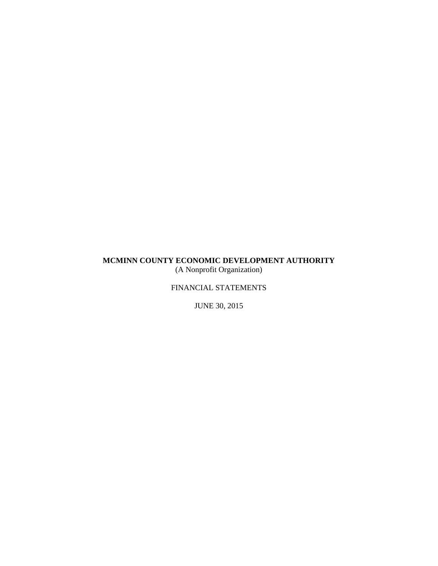(A Nonprofit Organization)

# FINANCIAL STATEMENTS

JUNE 30, 2015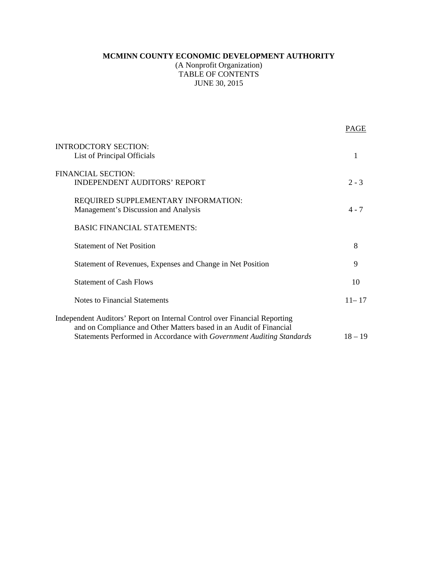### (A Nonprofit Organization) TABLE OF CONTENTS JUNE 30, 2015

|                                                                                                                                                                                                                          | <b>PAGE</b> |
|--------------------------------------------------------------------------------------------------------------------------------------------------------------------------------------------------------------------------|-------------|
| <b>INTRODCTORY SECTION:</b><br>List of Principal Officials                                                                                                                                                               | 1           |
| FINANCIAL SECTION:<br><b>INDEPENDENT AUDITORS' REPORT</b>                                                                                                                                                                | $2 - 3$     |
| REQUIRED SUPPLEMENTARY INFORMATION:<br>Management's Discussion and Analysis                                                                                                                                              | $4 - 7$     |
| <b>BASIC FINANCIAL STATEMENTS:</b>                                                                                                                                                                                       |             |
| <b>Statement of Net Position</b>                                                                                                                                                                                         | 8           |
| Statement of Revenues, Expenses and Change in Net Position                                                                                                                                                               | 9           |
| <b>Statement of Cash Flows</b>                                                                                                                                                                                           | 10          |
| <b>Notes to Financial Statements</b>                                                                                                                                                                                     | $11 - 17$   |
| Independent Auditors' Report on Internal Control over Financial Reporting<br>and on Compliance and Other Matters based in an Audit of Financial<br>Statements Performed in Accordance with Government Auditing Standards | $18 - 19$   |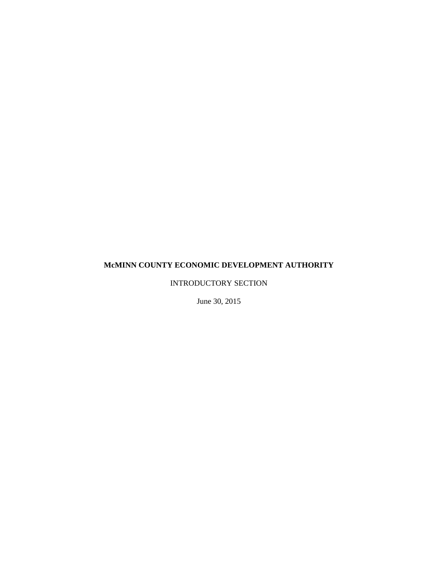INTRODUCTORY SECTION

June 30, 2015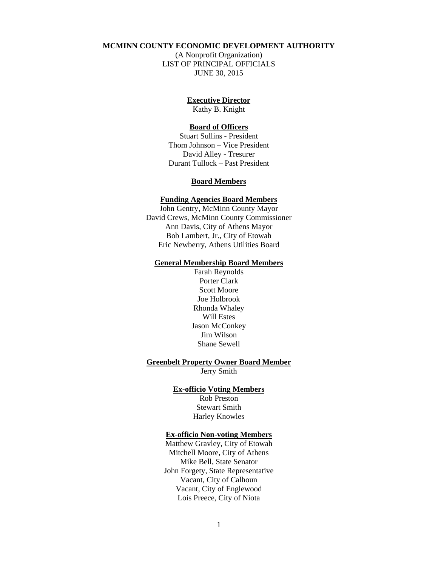(A Nonprofit Organization) LIST OF PRINCIPAL OFFICIALS JUNE 30, 2015

# **Executive Director**

Kathy B. Knight

### **Board of Officers**

Stuart Sullins - President Thom Johnson – Vice President David Alley - Tresurer Durant Tullock – Past President

#### **Board Members**

#### **Funding Agencies Board Members**

John Gentry, McMinn County Mayor David Crews, McMinn County Commissioner Ann Davis, City of Athens Mayor Bob Lambert, Jr., City of Etowah Eric Newberry, Athens Utilities Board

# **General Membership Board Members**

Farah Reynolds Porter Clark Scott Moore Joe Holbrook Rhonda Whaley Will Estes Jason McConkey Jim Wilson Shane Sewell

#### **Greenbelt Property Owner Board Member**

Jerry Smith

#### **Ex-officio Voting Members**

Rob Preston Stewart Smith Harley Knowles

#### **Ex-officio Non-voting Members**

Matthew Gravley, City of Etowah Mitchell Moore, City of Athens Mike Bell, State Senator John Forgety, State Representative Vacant, City of Calhoun Vacant, City of Englewood Lois Preece, City of Niota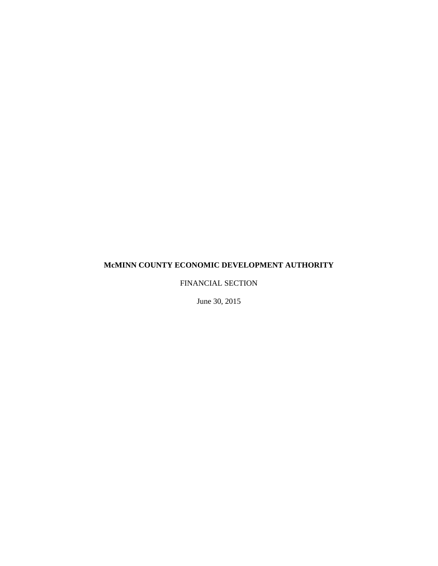FINANCIAL SECTION

June 30, 2015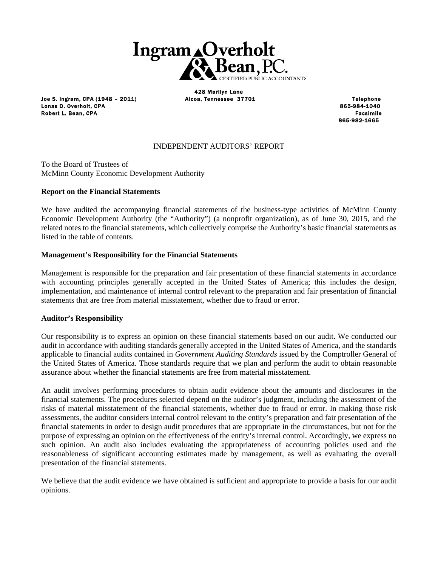

428 Marilyn Lane

Joe S. Ingram, CPA (1948 – 2011) Alcoa, Tennessee 37701 Telephone Lonas D. Overholt, CPA 865-984-1040 Robert L. Bean, CPA Facsimile and the state of the state of the state of the state of the state of the state of the state of the state of the state of the state of the state of the state of the state of the state of the st

865-982-1665

# INDEPENDENT AUDITORS' REPORT

To the Board of Trustees of McMinn County Economic Development Authority

### **Report on the Financial Statements**

We have audited the accompanying financial statements of the business-type activities of McMinn County Economic Development Authority (the "Authority") (a nonprofit organization), as of June 30, 2015, and the related notes to the financial statements, which collectively comprise the Authority's basic financial statements as listed in the table of contents.

### **Management's Responsibility for the Financial Statements**

Management is responsible for the preparation and fair presentation of these financial statements in accordance with accounting principles generally accepted in the United States of America; this includes the design, implementation, and maintenance of internal control relevant to the preparation and fair presentation of financial statements that are free from material misstatement, whether due to fraud or error.

# **Auditor's Responsibility**

Our responsibility is to express an opinion on these financial statements based on our audit. We conducted our audit in accordance with auditing standards generally accepted in the United States of America, and the standards applicable to financial audits contained in *Government Auditing Standards* issued by the Comptroller General of the United States of America. Those standards require that we plan and perform the audit to obtain reasonable assurance about whether the financial statements are free from material misstatement.

An audit involves performing procedures to obtain audit evidence about the amounts and disclosures in the financial statements. The procedures selected depend on the auditor's judgment, including the assessment of the risks of material misstatement of the financial statements, whether due to fraud or error. In making those risk assessments, the auditor considers internal control relevant to the entity's preparation and fair presentation of the financial statements in order to design audit procedures that are appropriate in the circumstances, but not for the purpose of expressing an opinion on the effectiveness of the entity's internal control. Accordingly, we express no such opinion. An audit also includes evaluating the appropriateness of accounting policies used and the reasonableness of significant accounting estimates made by management, as well as evaluating the overall presentation of the financial statements.

We believe that the audit evidence we have obtained is sufficient and appropriate to provide a basis for our audit opinions.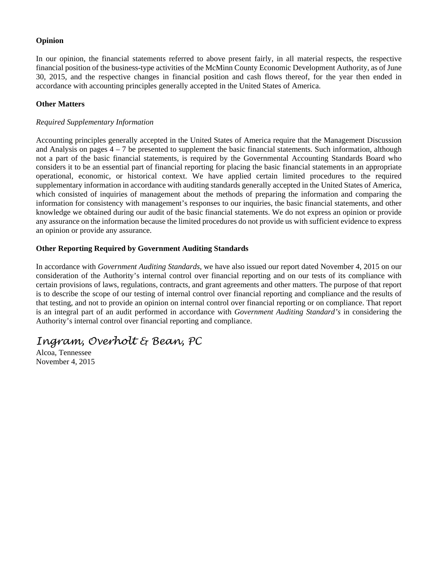# **Opinion**

In our opinion, the financial statements referred to above present fairly, in all material respects, the respective financial position of the business-type activities of the McMinn County Economic Development Authority, as of June 30, 2015, and the respective changes in financial position and cash flows thereof, for the year then ended in accordance with accounting principles generally accepted in the United States of America.

# **Other Matters**

### *Required Supplementary Information*

Accounting principles generally accepted in the United States of America require that the Management Discussion and Analysis on pages  $4 - 7$  be presented to supplement the basic financial statements. Such information, although not a part of the basic financial statements, is required by the Governmental Accounting Standards Board who considers it to be an essential part of financial reporting for placing the basic financial statements in an appropriate operational, economic, or historical context. We have applied certain limited procedures to the required supplementary information in accordance with auditing standards generally accepted in the United States of America, which consisted of inquiries of management about the methods of preparing the information and comparing the information for consistency with management's responses to our inquiries, the basic financial statements, and other knowledge we obtained during our audit of the basic financial statements. We do not express an opinion or provide any assurance on the information because the limited procedures do not provide us with sufficient evidence to express an opinion or provide any assurance.

# **Other Reporting Required by Government Auditing Standards**

In accordance with *Government Auditing Standards*, we have also issued our report dated November 4, 2015 on our consideration of the Authority's internal control over financial reporting and on our tests of its compliance with certain provisions of laws, regulations, contracts, and grant agreements and other matters. The purpose of that report is to describe the scope of our testing of internal control over financial reporting and compliance and the results of that testing, and not to provide an opinion on internal control over financial reporting or on compliance. That report is an integral part of an audit performed in accordance with *Government Auditing Standard's* in considering the Authority's internal control over financial reporting and compliance.

# *Ingram, Overholt & Bean, PC*

Alcoa, Tennessee November 4, 2015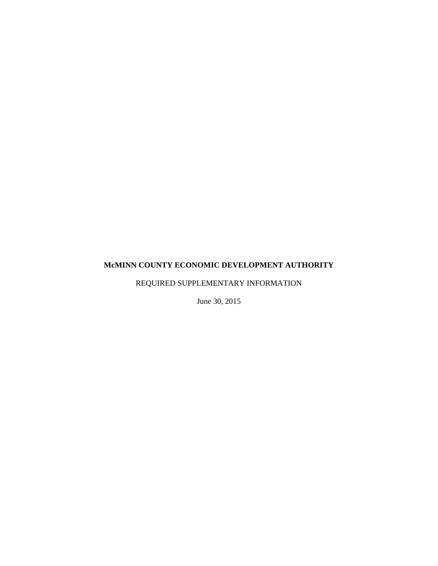REQUIRED SUPPLEMENTARY INFORMATION

June 30, 2015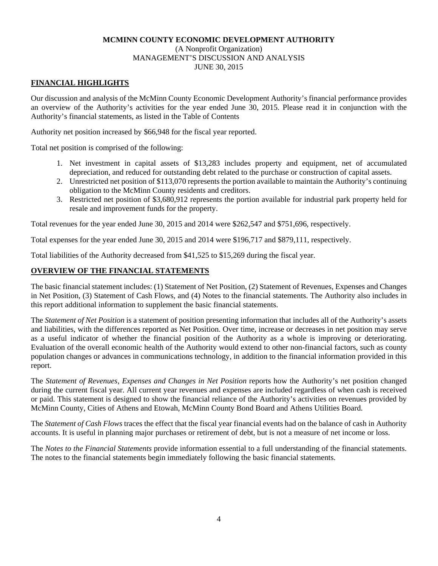# **MCMINN COUNTY ECONOMIC DEVELOPMENT AUTHORITY**  (A Nonprofit Organization) MANAGEMENT'S DISCUSSION AND ANALYSIS JUNE 30, 2015

# **FINANCIAL HIGHLIGHTS**

Our discussion and analysis of the McMinn County Economic Development Authority's financial performance provides an overview of the Authority's activities for the year ended June 30, 2015. Please read it in conjunction with the Authority's financial statements, as listed in the Table of Contents

Authority net position increased by \$66,948 for the fiscal year reported.

Total net position is comprised of the following:

- 1. Net investment in capital assets of \$13,283 includes property and equipment, net of accumulated depreciation, and reduced for outstanding debt related to the purchase or construction of capital assets.
- 2. Unrestricted net position of \$113,070 represents the portion available to maintain the Authority's continuing obligation to the McMinn County residents and creditors.
- 3. Restricted net position of \$3,680,912 represents the portion available for industrial park property held for resale and improvement funds for the property.

Total revenues for the year ended June 30, 2015 and 2014 were \$262,547 and \$751,696, respectively.

Total expenses for the year ended June 30, 2015 and 2014 were \$196,717 and \$879,111, respectively.

Total liabilities of the Authority decreased from \$41,525 to \$15,269 during the fiscal year.

# **OVERVIEW OF THE FINANCIAL STATEMENTS**

The basic financial statement includes: (1) Statement of Net Position, (2) Statement of Revenues, Expenses and Changes in Net Position, (3) Statement of Cash Flows, and (4) Notes to the financial statements. The Authority also includes in this report additional information to supplement the basic financial statements.

The *Statement of Net Position* is a statement of position presenting information that includes all of the Authority's assets and liabilities, with the differences reported as Net Position. Over time, increase or decreases in net position may serve as a useful indicator of whether the financial position of the Authority as a whole is improving or deteriorating. Evaluation of the overall economic health of the Authority would extend to other non-financial factors, such as county population changes or advances in communications technology, in addition to the financial information provided in this report.

The *Statement of Revenues, Expenses and Changes in Net Position* reports how the Authority's net position changed during the current fiscal year. All current year revenues and expenses are included regardless of when cash is received or paid. This statement is designed to show the financial reliance of the Authority's activities on revenues provided by McMinn County, Cities of Athens and Etowah, McMinn County Bond Board and Athens Utilities Board.

The *Statement of Cash Flows* traces the effect that the fiscal year financial events had on the balance of cash in Authority accounts. It is useful in planning major purchases or retirement of debt, but is not a measure of net income or loss.

The *Notes to the Financial Statements* provide information essential to a full understanding of the financial statements. The notes to the financial statements begin immediately following the basic financial statements.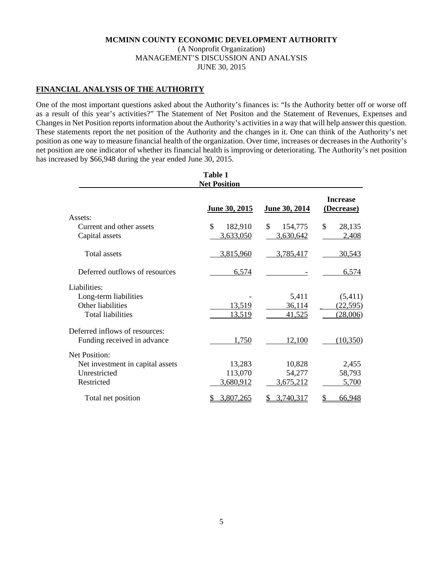# **MCMINN COUNTY ECONOMIC DEVELOPMENT AUTHORITY**  (A Nonprofit Organization)

MANAGEMENT'S DISCUSSION AND ANALYSIS

JUNE 30, 2015

## **FINANCIAL ANALYSIS OF THE AUTHORITY**

One of the most important questions asked about the Authority's finances is: "Is the Authority better off or worse off as a result of this year's activities?" The Statement of Net Positon and the Statement of Revenues, Expenses and Changes in Net Position reports information about the Authority's activities in a way that will help answer this question. These statements report the net position of the Authority and the changes in it. One can think of the Authority's net position as one way to measure financial health of the organization. Over time, increases or decreases in the Authority's net position are one indicator of whether its financial health is improving or deteriorating. The Authority's net position has increased by \$66,948 during the year ended June 30, 2015.

|                                  | <b>Table 1</b><br><b>Net Position</b> |               |                               |
|----------------------------------|---------------------------------------|---------------|-------------------------------|
|                                  | <u>June 30, 2015</u>                  | June 30, 2014 | <b>Increase</b><br>(Decrease) |
| Assets:                          |                                       |               |                               |
| Current and other assets         | \$<br>182,910                         | \$<br>154,775 | \$<br>28,135                  |
| Capital assets                   | 3,633,050                             | 3,630,642     | 2,408                         |
| <b>Total assets</b>              | 3,815,960                             | 3,785,417     | <u>30,543</u>                 |
| Deferred outflows of resources   | 6,574                                 |               | 6,574                         |
| Liabilities:                     |                                       |               |                               |
| Long-term liabilities            |                                       | 5,411         | (5,411)                       |
| Other liabilities                | 13,519                                | 36,114        | (22, 595)                     |
| <b>Total liabilities</b>         | 13,519                                | 41,525        | (28,006)                      |
| Deferred inflows of resources:   |                                       |               |                               |
| Funding received in advance      | 1,750                                 | 12,100        | (10,350)                      |
| <b>Net Position:</b>             |                                       |               |                               |
| Net investment in capital assets | 13,283                                | 10,828        | 2,455                         |
| Unrestricted                     | 113,070                               | 54,277        | 58,793                        |
| Restricted                       | 3,680,912                             | 3,675,212     | 5,700                         |
| Total net position               | 3,807,265                             | 3,740,317     | 66,948                        |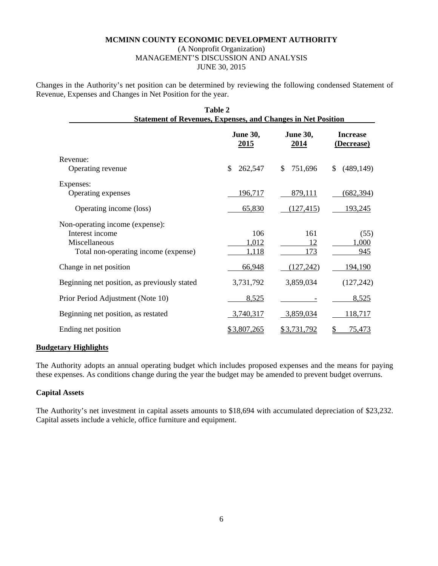#### (A Nonprofit Organization) MANAGEMENT'S DISCUSSION AND ANALYSIS JUNE 30, 2015

Changes in the Authority's net position can be determined by reviewing the following condensed Statement of Revenue, Expenses and Changes in Net Position for the year.

| <b>Statement of Revenues, Expenses, and Changes in Net Position</b>                                         | <b>Table 2</b>                 |                         |                               |
|-------------------------------------------------------------------------------------------------------------|--------------------------------|-------------------------|-------------------------------|
|                                                                                                             | <b>June 30,</b><br><u>2015</u> | <b>June 30,</b><br>2014 | <b>Increase</b><br>(Decrease) |
| Revenue:<br>Operating revenue                                                                               | \$<br>262,547                  | 751,696<br>S.           | (489, 149)<br>\$              |
| Expenses:<br>Operating expenses                                                                             | 196,717                        | 879,111                 | (682, 394)                    |
| Operating income (loss)                                                                                     | 65,830                         | (127, 415)              | 193,245                       |
| Non-operating income (expense):<br>Interest income<br>Miscellaneous<br>Total non-operating income (expense) | 106<br>1,012<br>1,118          | 161<br><u>12</u><br>173 | (55)<br>1,000<br>945          |
| Change in net position                                                                                      | 66,948                         | (127, 242)              | 194,190                       |
| Beginning net position, as previously stated                                                                | 3,731,792                      | 3,859,034               | (127, 242)                    |
| Prior Period Adjustment (Note 10)                                                                           | 8,525                          |                         | 8,525                         |
| Beginning net position, as restated                                                                         | 3,740,317                      | 3,859,034               | 118,717                       |
| Ending net position                                                                                         | \$3,807,265                    | \$3,731,792             | 75,473                        |

# **Budgetary Highlights**

The Authority adopts an annual operating budget which includes proposed expenses and the means for paying these expenses. As conditions change during the year the budget may be amended to prevent budget overruns.

# **Capital Assets**

The Authority's net investment in capital assets amounts to \$18,694 with accumulated depreciation of \$23,232. Capital assets include a vehicle, office furniture and equipment.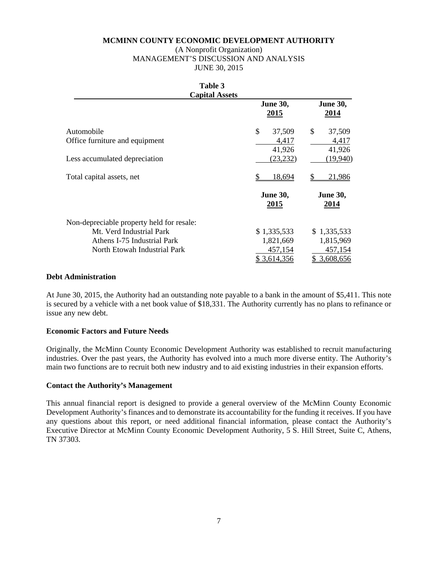#### (A Nonprofit Organization) MANAGEMENT'S DISCUSSION AND ANALYSIS JUNE 30, 2015

| Table 3<br><b>Capital Assets</b>          |                         |                         |
|-------------------------------------------|-------------------------|-------------------------|
|                                           | <b>June 30,</b><br>2015 | <b>June 30,</b><br>2014 |
| Automobile                                | \$<br>37,509            | \$<br>37,509            |
| Office furniture and equipment            | 4,417<br>41,926         | 4,417<br>41,926         |
| Less accumulated depreciation             | (23, 232)               | (19,940)                |
| Total capital assets, net                 | 18,694                  | 21,986                  |
|                                           | <b>June 30,</b><br>2015 | <b>June 30,</b><br>2014 |
| Non-depreciable property held for resale: |                         |                         |
| Mt. Verd Industrial Park                  | \$1,335,533             | \$1,335,533             |
| Athens I-75 Industrial Park               | 1,821,669               | 1,815,969               |
| North Etowah Industrial Park              | 457,154                 | 457,154                 |
|                                           | \$3,614,356             | \$ 3,608,656            |

#### **Debt Administration**

At June 30, 2015, the Authority had an outstanding note payable to a bank in the amount of \$5,411. This note is secured by a vehicle with a net book value of \$18,331. The Authority currently has no plans to refinance or issue any new debt.

#### **Economic Factors and Future Needs**

Originally, the McMinn County Economic Development Authority was established to recruit manufacturing industries. Over the past years, the Authority has evolved into a much more diverse entity. The Authority's main two functions are to recruit both new industry and to aid existing industries in their expansion efforts.

#### **Contact the Authority's Management**

This annual financial report is designed to provide a general overview of the McMinn County Economic Development Authority's finances and to demonstrate its accountability for the funding it receives. If you have any questions about this report, or need additional financial information, please contact the Authority's Executive Director at McMinn County Economic Development Authority, 5 S. Hill Street, Suite C, Athens, TN 37303.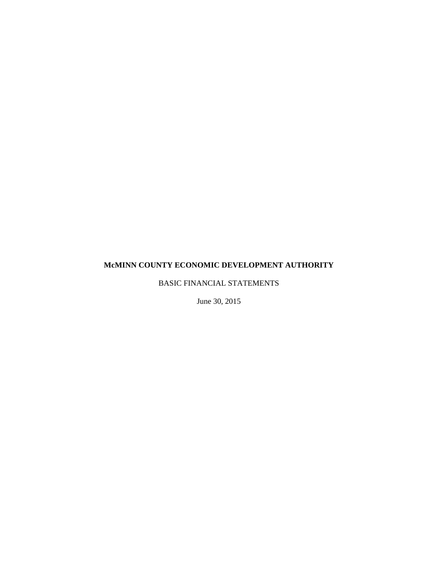BASIC FINANCIAL STATEMENTS

June 30, 2015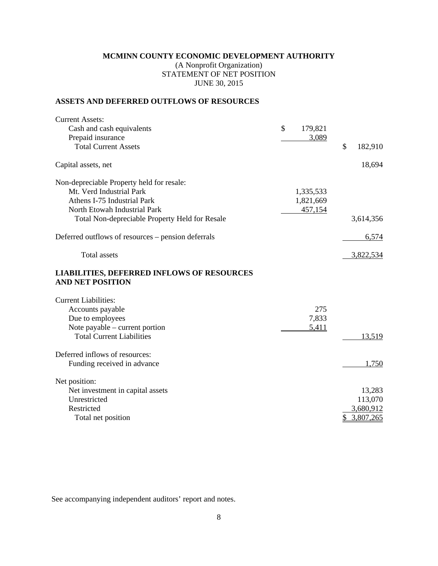# **MCMINN COUNTY ECONOMIC DEVELOPMENT AUTHORITY**  (A Nonprofit Organization) STATEMENT OF NET POSITION JUNE 30, 2015

## **ASSETS AND DEFERRED OUTFLOWS OF RESOURCES**

| <b>Current Assets:</b>                                                       |               |               |             |
|------------------------------------------------------------------------------|---------------|---------------|-------------|
| Cash and cash equivalents                                                    | \$<br>179,821 |               |             |
| Prepaid insurance                                                            | 3,089         |               |             |
| <b>Total Current Assets</b>                                                  |               | $\mathcal{S}$ | 182,910     |
| Capital assets, net                                                          |               |               | 18,694      |
| Non-depreciable Property held for resale:                                    |               |               |             |
| Mt. Verd Industrial Park                                                     | 1,335,533     |               |             |
| Athens I-75 Industrial Park                                                  | 1,821,669     |               |             |
| North Etowah Industrial Park                                                 | 457,154       |               |             |
| Total Non-depreciable Property Held for Resale                               |               |               | 3,614,356   |
| Deferred outflows of resources – pension deferrals                           |               |               | 6,574       |
| <b>Total</b> assets                                                          |               |               | 3,822,534   |
| <b>LIABILITIES, DEFERRED INFLOWS OF RESOURCES</b><br><b>AND NET POSITION</b> |               |               |             |
| <b>Current Liabilities:</b>                                                  |               |               |             |
| Accounts payable                                                             | 275           |               |             |
| Due to employees                                                             | 7,833         |               |             |
| Note payable – current portion                                               | 5,411         |               |             |
| <b>Total Current Liabilities</b>                                             |               |               | 13,519      |
| Deferred inflows of resources:                                               |               |               |             |
| Funding received in advance                                                  |               |               | 1,750       |
| Net position:                                                                |               |               |             |
| Net investment in capital assets                                             |               |               | 13,283      |
| Unrestricted                                                                 |               |               | 113,070     |
| Restricted                                                                   |               |               | 3,680,912   |
| Total net position                                                           |               |               | \$3,807,265 |

See accompanying independent auditors' report and notes.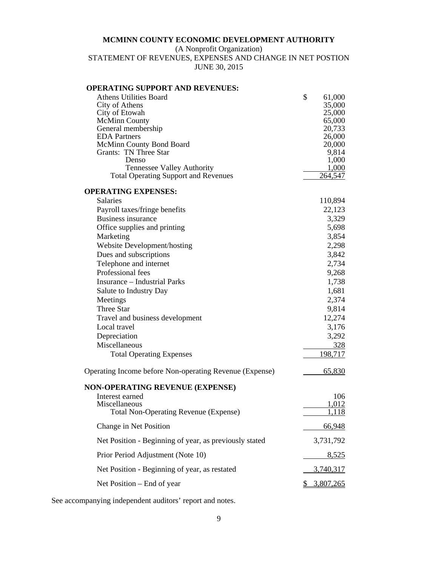# (A Nonprofit Organization) STATEMENT OF REVENUES, EXPENSES AND CHANGE IN NET POSTION JUNE 30, 2015

## **OPERATING SUPPORT AND REVENUES:**

| <b>Athens Utilities Board</b>                           | \$<br>61,000 |
|---------------------------------------------------------|--------------|
| City of Athens                                          | 35,000       |
| City of Etowah                                          | 25,000       |
| <b>McMinn County</b>                                    | 65,000       |
| General membership                                      | 20,733       |
| <b>EDA</b> Partners                                     | 26,000       |
| McMinn County Bond Board                                | 20,000       |
| Grants: TN Three Star                                   | 9,814        |
| Denso                                                   | 1,000        |
| <b>Tennessee Valley Authority</b>                       | 1,000        |
| <b>Total Operating Support and Revenues</b>             | 264,547      |
| <b>OPERATING EXPENSES:</b>                              |              |
| <b>Salaries</b>                                         | 110,894      |
| Payroll taxes/fringe benefits                           | 22,123       |
| Business insurance                                      | 3,329        |
| Office supplies and printing                            | 5,698        |
| Marketing                                               | 3,854        |
| Website Development/hosting                             | 2,298        |
| Dues and subscriptions                                  | 3,842        |
| Telephone and internet                                  | 2,734        |
| Professional fees                                       | 9,268        |
| <b>Insurance</b> – Industrial Parks                     | 1,738        |
|                                                         | 1,681        |
| Salute to Industry Day                                  |              |
| Meetings                                                | 2,374        |
| Three Star                                              | 9,814        |
| Travel and business development                         | 12,274       |
| Local travel                                            | 3,176        |
| Depreciation                                            | 3,292        |
| Miscellaneous                                           | 328          |
| <b>Total Operating Expenses</b>                         | 198,717      |
| Operating Income before Non-operating Revenue (Expense) | 65,830       |
| NON-OPERATING REVENUE (EXPENSE)                         |              |
| Interest earned                                         | 106          |
| Miscellaneous                                           | 1,012        |
| <b>Total Non-Operating Revenue (Expense)</b>            | <u>1,118</u> |
| Change in Net Position                                  | 66,948       |
| Net Position - Beginning of year, as previously stated  | 3,731,792    |
| Prior Period Adjustment (Note 10)                       | 8,525        |
| Net Position - Beginning of year, as restated           | 3,740,317    |
| Net Position – End of year                              | 3,807,265    |

See accompanying independent auditors' report and notes.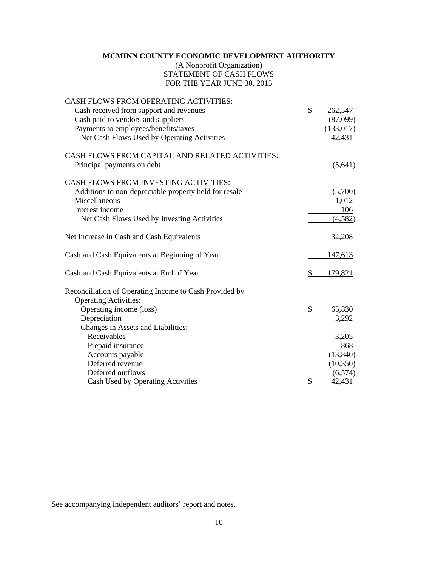# (A Nonprofit Organization) STATEMENT OF CASH FLOWS FOR THE YEAR JUNE 30, 2015

| CASH FLOWS FROM OPERATING ACTIVITIES:                  |               |           |
|--------------------------------------------------------|---------------|-----------|
| Cash received from support and revenues                | \$            | 262,547   |
| Cash paid to vendors and suppliers                     |               | (87,099)  |
| Payments to employees/benefits/taxes                   |               | (133,017) |
| Net Cash Flows Used by Operating Activities            |               | 42,431    |
| CASH FLOWS FROM CAPITAL AND RELATED ACTIVITIES:        |               |           |
| Principal payments on debt                             |               | (5,641)   |
| <b>CASH FLOWS FROM INVESTING ACTIVITIES:</b>           |               |           |
| Additions to non-depreciable property held for resale  |               | (5,700)   |
| Miscellaneous                                          |               | 1,012     |
| Interest income                                        |               | 106       |
| Net Cash Flows Used by Investing Activities            |               | (4,582)   |
| Net Increase in Cash and Cash Equivalents              |               | 32,208    |
| Cash and Cash Equivalents at Beginning of Year         |               | 147,613   |
| Cash and Cash Equivalents at End of Year               |               | 179,821   |
| Reconciliation of Operating Income to Cash Provided by |               |           |
| <b>Operating Activities:</b>                           |               |           |
| Operating income (loss)                                | \$            | 65,830    |
| Depreciation                                           |               | 3,292     |
| Changes in Assets and Liabilities:                     |               |           |
| Receivables                                            |               | 3,205     |
| Prepaid insurance                                      |               | 868       |
| Accounts payable                                       |               | (13, 840) |
| Deferred revenue                                       |               | (10, 350) |
| Deferred outflows                                      |               | (6,574)   |
| Cash Used by Operating Activities                      | $\frac{1}{2}$ | 42,431    |

See accompanying independent auditors' report and notes.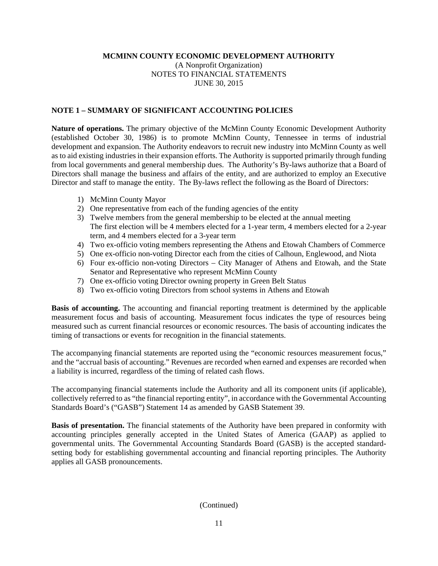(A Nonprofit Organization) NOTES TO FINANCIAL STATEMENTS JUNE 30, 2015

# **NOTE 1 – SUMMARY OF SIGNIFICANT ACCOUNTING POLICIES**

**Nature of operations.** The primary objective of the McMinn County Economic Development Authority (established October 30, 1986) is to promote McMinn County, Tennessee in terms of industrial development and expansion. The Authority endeavors to recruit new industry into McMinn County as well as to aid existing industries in their expansion efforts. The Authority is supported primarily through funding from local governments and general membership dues. The Authority's By-laws authorize that a Board of Directors shall manage the business and affairs of the entity, and are authorized to employ an Executive Director and staff to manage the entity. The By-laws reflect the following as the Board of Directors:

- 1) McMinn County Mayor
- 2) One representative from each of the funding agencies of the entity
- 3) Twelve members from the general membership to be elected at the annual meeting The first election will be 4 members elected for a 1-year term, 4 members elected for a 2-year term, and 4 members elected for a 3-year term
- 4) Two ex-officio voting members representing the Athens and Etowah Chambers of Commerce
- 5) One ex-officio non-voting Director each from the cities of Calhoun, Englewood, and Niota
- 6) Four ex-officio non-voting Directors City Manager of Athens and Etowah, and the State Senator and Representative who represent McMinn County
- 7) One ex-officio voting Director owning property in Green Belt Status
- 8) Two ex-officio voting Directors from school systems in Athens and Etowah

**Basis of accounting.** The accounting and financial reporting treatment is determined by the applicable measurement focus and basis of accounting. Measurement focus indicates the type of resources being measured such as current financial resources or economic resources. The basis of accounting indicates the timing of transactions or events for recognition in the financial statements.

The accompanying financial statements are reported using the "economic resources measurement focus," and the "accrual basis of accounting." Revenues are recorded when earned and expenses are recorded when a liability is incurred, regardless of the timing of related cash flows.

The accompanying financial statements include the Authority and all its component units (if applicable), collectively referred to as "the financial reporting entity", in accordance with the Governmental Accounting Standards Board's ("GASB") Statement 14 as amended by GASB Statement 39.

**Basis of presentation.** The financial statements of the Authority have been prepared in conformity with accounting principles generally accepted in the United States of America (GAAP) as applied to governmental units. The Governmental Accounting Standards Board (GASB) is the accepted standardsetting body for establishing governmental accounting and financial reporting principles. The Authority applies all GASB pronouncements.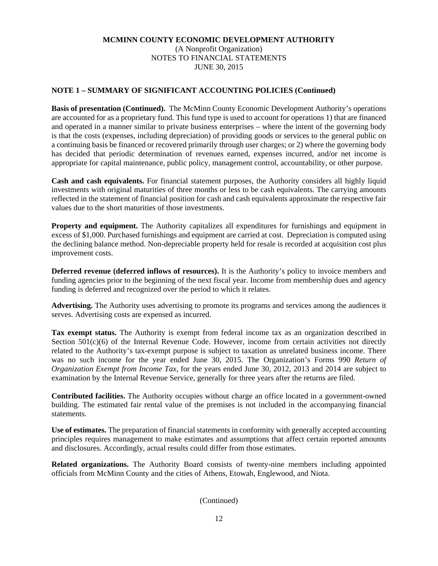# **MCMINN COUNTY ECONOMIC DEVELOPMENT AUTHORITY**  (A Nonprofit Organization) NOTES TO FINANCIAL STATEMENTS JUNE 30, 2015

# **NOTE 1 – SUMMARY OF SIGNIFICANT ACCOUNTING POLICIES (Continued)**

**Basis of presentation (Continued).** The McMinn County Economic Development Authority's operations are accounted for as a proprietary fund. This fund type is used to account for operations 1) that are financed and operated in a manner similar to private business enterprises – where the intent of the governing body is that the costs (expenses, including depreciation) of providing goods or services to the general public on a continuing basis be financed or recovered primarily through user charges; or 2) where the governing body has decided that periodic determination of revenues earned, expenses incurred, and/or net income is appropriate for capital maintenance, public policy, management control, accountability, or other purpose.

**Cash and cash equivalents.** For financial statement purposes, the Authority considers all highly liquid investments with original maturities of three months or less to be cash equivalents. The carrying amounts reflected in the statement of financial position for cash and cash equivalents approximate the respective fair values due to the short maturities of those investments.

**Property and equipment.** The Authority capitalizes all expenditures for furnishings and equipment in excess of \$1,000. Purchased furnishings and equipment are carried at cost. Depreciation is computed using the declining balance method. Non-depreciable property held for resale is recorded at acquisition cost plus improvement costs.

**Deferred revenue (deferred inflows of resources).** It is the Authority's policy to invoice members and funding agencies prior to the beginning of the next fiscal year. Income from membership dues and agency funding is deferred and recognized over the period to which it relates.

**Advertising.** The Authority uses advertising to promote its programs and services among the audiences it serves. Advertising costs are expensed as incurred.

**Tax exempt status.** The Authority is exempt from federal income tax as an organization described in Section 501(c)(6) of the Internal Revenue Code. However, income from certain activities not directly related to the Authority's tax-exempt purpose is subject to taxation as unrelated business income. There was no such income for the year ended June 30, 2015. The Organization's Forms 990 *Return of Organization Exempt from Income Tax*, for the years ended June 30, 2012, 2013 and 2014 are subject to examination by the Internal Revenue Service, generally for three years after the returns are filed.

**Contributed facilities.** The Authority occupies without charge an office located in a government-owned building. The estimated fair rental value of the premises is not included in the accompanying financial statements.

**Use of estimates.** The preparation of financial statements in conformity with generally accepted accounting principles requires management to make estimates and assumptions that affect certain reported amounts and disclosures. Accordingly, actual results could differ from those estimates.

**Related organizations.** The Authority Board consists of twenty-nine members including appointed officials from McMinn County and the cities of Athens, Etowah, Englewood, and Niota.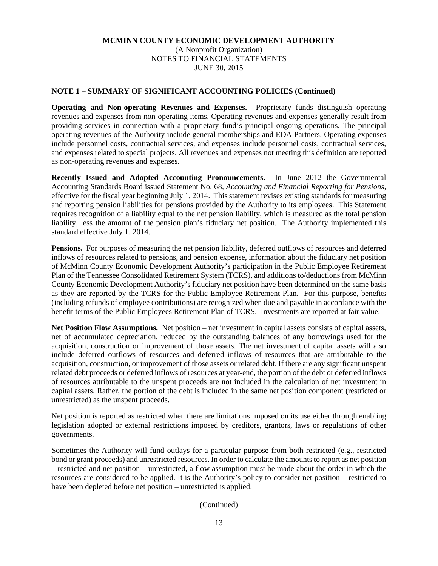# **MCMINN COUNTY ECONOMIC DEVELOPMENT AUTHORITY**  (A Nonprofit Organization) NOTES TO FINANCIAL STATEMENTS JUNE 30, 2015

# **NOTE 1 – SUMMARY OF SIGNIFICANT ACCOUNTING POLICIES (Continued)**

**Operating and Non-operating Revenues and Expenses.** Proprietary funds distinguish operating revenues and expenses from non-operating items. Operating revenues and expenses generally result from providing services in connection with a proprietary fund's principal ongoing operations. The principal operating revenues of the Authority include general memberships and EDA Partners. Operating expenses include personnel costs, contractual services, and expenses include personnel costs, contractual services, and expenses related to special projects. All revenues and expenses not meeting this definition are reported as non-operating revenues and expenses.

**Recently Issued and Adopted Accounting Pronouncements.** In June 2012 the Governmental Accounting Standards Board issued Statement No. 68, *Accounting and Financial Reporting for Pensions,*  effective for the fiscal year beginning July 1, 2014. This statement revises existing standards for measuring and reporting pension liabilities for pensions provided by the Authority to its employees. This Statement requires recognition of a liability equal to the net pension liability, which is measured as the total pension liability, less the amount of the pension plan's fiduciary net position. The Authority implemented this standard effective July 1, 2014.

**Pensions.** For purposes of measuring the net pension liability, deferred outflows of resources and deferred inflows of resources related to pensions, and pension expense, information about the fiduciary net position of McMinn County Economic Development Authority's participation in the Public Employee Retirement Plan of the Tennessee Consolidated Retirement System (TCRS), and additions to/deductions from McMinn County Economic Development Authority's fiduciary net position have been determined on the same basis as they are reported by the TCRS for the Public Employee Retirement Plan. For this purpose, benefits (including refunds of employee contributions) are recognized when due and payable in accordance with the benefit terms of the Public Employees Retirement Plan of TCRS. Investments are reported at fair value.

**Net Position Flow Assumptions.** Net position – net investment in capital assets consists of capital assets, net of accumulated depreciation, reduced by the outstanding balances of any borrowings used for the acquisition, construction or improvement of those assets. The net investment of capital assets will also include deferred outflows of resources and deferred inflows of resources that are attributable to the acquisition, construction, or improvement of those assets or related debt. If there are any significant unspent related debt proceeds or deferred inflows of resources at year-end, the portion of the debt or deferred inflows of resources attributable to the unspent proceeds are not included in the calculation of net investment in capital assets. Rather, the portion of the debt is included in the same net position component (restricted or unrestricted) as the unspent proceeds.

Net position is reported as restricted when there are limitations imposed on its use either through enabling legislation adopted or external restrictions imposed by creditors, grantors, laws or regulations of other governments.

Sometimes the Authority will fund outlays for a particular purpose from both restricted (e.g., restricted bond or grant proceeds) and unrestricted resources. In order to calculate the amounts to report as net position – restricted and net position – unrestricted, a flow assumption must be made about the order in which the resources are considered to be applied. It is the Authority's policy to consider net position – restricted to have been depleted before net position – unrestricted is applied.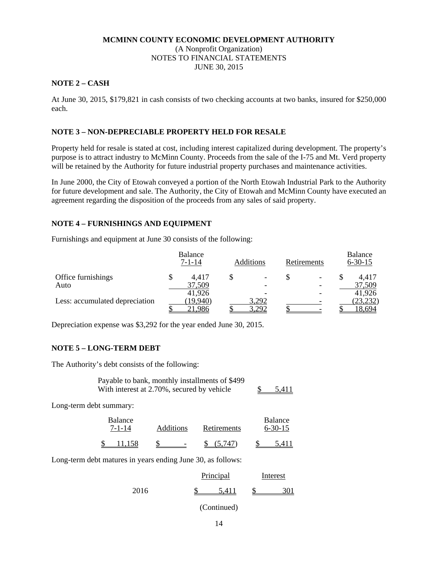# **MCMINN COUNTY ECONOMIC DEVELOPMENT AUTHORITY**  (A Nonprofit Organization)

NOTES TO FINANCIAL STATEMENTS

JUNE 30, 2015

# **NOTE 2 – CASH**

At June 30, 2015, \$179,821 in cash consists of two checking accounts at two banks, insured for \$250,000 each.

# **NOTE 3 – NON-DEPRECIABLE PROPERTY HELD FOR RESALE**

Property held for resale is stated at cost, including interest capitalized during development. The property's purpose is to attract industry to McMinn County. Proceeds from the sale of the I-75 and Mt. Verd property will be retained by the Authority for future industrial property purchases and maintenance activities.

In June 2000, the City of Etowah conveyed a portion of the North Etowah Industrial Park to the Authority for future development and sale. The Authority, the City of Etowah and McMinn County have executed an agreement regarding the disposition of the proceeds from any sales of said property.

# **NOTE 4 – FURNISHINGS AND EQUIPMENT**

Furnishings and equipment at June 30 consists of the following:

|                                | <b>Balance</b><br>$7 - 1 - 14$ | Additions                | Retirements              | <b>Balance</b><br>$6 - 30 - 15$ |
|--------------------------------|--------------------------------|--------------------------|--------------------------|---------------------------------|
| Office furnishings             | 4.417                          | $\overline{\phantom{a}}$ | $\overline{\phantom{0}}$ | 4,417                           |
| Auto                           | 37,509                         |                          |                          | 37,509                          |
|                                | 41,926                         |                          |                          | 41,926                          |
| Less: accumulated depreciation | 19,940)                        | 3,292                    |                          | (23, 232)                       |
|                                | 21,986                         | ാഴാ                      |                          | 18.694                          |

Depreciation expense was \$3,292 for the year ended June 30, 2015.

# **NOTE 5 – LONG-TERM DEBT**

The Authority's debt consists of the following:

| Payable to bank, monthly installments of \$499 |         |
|------------------------------------------------|---------|
| With interest at 2.70%, secured by vehicle     | \$5,411 |

Long-term debt summary:

| <b>Balance</b><br>$7 - 1 - 14$ | <b>Additions</b> | Retirements | <b>Balance</b><br>$6 - 30 - 15$ |
|--------------------------------|------------------|-------------|---------------------------------|
| 1 158                          | -                |             |                                 |

Long-term debt matures in years ending June 30, as follows:

|      | Principal<br>Interest |  |  |
|------|-----------------------|--|--|
| 2016 |                       |  |  |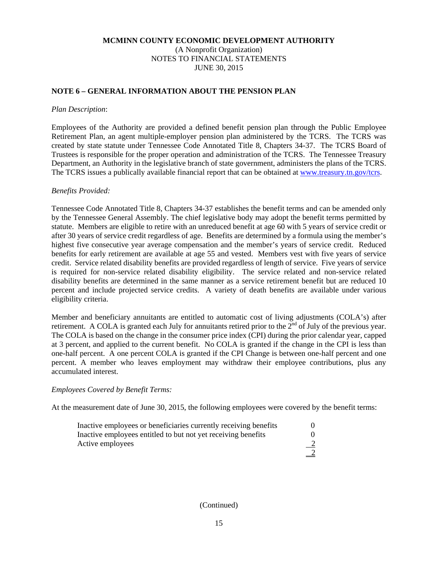# **MCMINN COUNTY ECONOMIC DEVELOPMENT AUTHORITY**  (A Nonprofit Organization) NOTES TO FINANCIAL STATEMENTS JUNE 30, 2015

# **NOTE 6 – GENERAL INFORMATION ABOUT THE PENSION PLAN**

#### *Plan Description*:

Employees of the Authority are provided a defined benefit pension plan through the Public Employee Retirement Plan, an agent multiple-employer pension plan administered by the TCRS. The TCRS was created by state statute under Tennessee Code Annotated Title 8, Chapters 34-37. The TCRS Board of Trustees is responsible for the proper operation and administration of the TCRS. The Tennessee Treasury Department, an Authority in the legislative branch of state government, administers the plans of the TCRS. The TCRS issues a publically available financial report that can be obtained at www.treasury.tn.gov/tcrs.

### *Benefits Provided:*

Tennessee Code Annotated Title 8, Chapters 34-37 establishes the benefit terms and can be amended only by the Tennessee General Assembly. The chief legislative body may adopt the benefit terms permitted by statute. Members are eligible to retire with an unreduced benefit at age 60 with 5 years of service credit or after 30 years of service credit regardless of age. Benefits are determined by a formula using the member's highest five consecutive year average compensation and the member's years of service credit. Reduced benefits for early retirement are available at age 55 and vested. Members vest with five years of service credit. Service related disability benefits are provided regardless of length of service. Five years of service is required for non-service related disability eligibility. The service related and non-service related disability benefits are determined in the same manner as a service retirement benefit but are reduced 10 percent and include projected service credits. A variety of death benefits are available under various eligibility criteria.

Member and beneficiary annuitants are entitled to automatic cost of living adjustments (COLA's) after retirement. A COLA is granted each July for annuitants retired prior to the 2<sup>nd</sup> of July of the previous year. The COLA is based on the change in the consumer price index (CPI) during the prior calendar year, capped at 3 percent, and applied to the current benefit. No COLA is granted if the change in the CPI is less than one-half percent. A one percent COLA is granted if the CPI Change is between one-half percent and one percent. A member who leaves employment may withdraw their employee contributions, plus any accumulated interest.

# *Employees Covered by Benefit Terms:*

At the measurement date of June 30, 2015, the following employees were covered by the benefit terms:

| Inactive employees or beneficiaries currently receiving benefits |  |
|------------------------------------------------------------------|--|
| Inactive employees entitled to but not yet receiving benefits    |  |
| Active employees                                                 |  |
|                                                                  |  |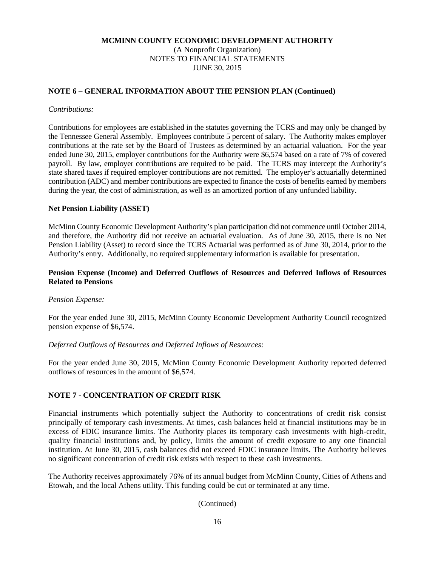# **MCMINN COUNTY ECONOMIC DEVELOPMENT AUTHORITY**  (A Nonprofit Organization) NOTES TO FINANCIAL STATEMENTS JUNE 30, 2015

# **NOTE 6 – GENERAL INFORMATION ABOUT THE PENSION PLAN (Continued)**

#### *Contributions:*

Contributions for employees are established in the statutes governing the TCRS and may only be changed by the Tennessee General Assembly. Employees contribute 5 percent of salary. The Authority makes employer contributions at the rate set by the Board of Trustees as determined by an actuarial valuation. For the year ended June 30, 2015, employer contributions for the Authority were \$6,574 based on a rate of 7% of covered payroll. By law, employer contributions are required to be paid. The TCRS may intercept the Authority's state shared taxes if required employer contributions are not remitted. The employer's actuarially determined contribution (ADC) and member contributions are expected to finance the costs of benefits earned by members during the year, the cost of administration, as well as an amortized portion of any unfunded liability.

### **Net Pension Liability (ASSET)**

McMinn County Economic Development Authority's plan participation did not commence until October 2014, and therefore, the Authority did not receive an actuarial evaluation. As of June 30, 2015, there is no Net Pension Liability (Asset) to record since the TCRS Actuarial was performed as of June 30, 2014, prior to the Authority's entry. Additionally, no required supplementary information is available for presentation.

# **Pension Expense (Income) and Deferred Outflows of Resources and Deferred Inflows of Resources Related to Pensions**

# *Pension Expense:*

For the year ended June 30, 2015, McMinn County Economic Development Authority Council recognized pension expense of \$6,574.

# *Deferred Outflows of Resources and Deferred Inflows of Resources:*

For the year ended June 30, 2015, McMinn County Economic Development Authority reported deferred outflows of resources in the amount of \$6,574.

# **NOTE 7 - CONCENTRATION OF CREDIT RISK**

Financial instruments which potentially subject the Authority to concentrations of credit risk consist principally of temporary cash investments. At times, cash balances held at financial institutions may be in excess of FDIC insurance limits. The Authority places its temporary cash investments with high-credit, quality financial institutions and, by policy, limits the amount of credit exposure to any one financial institution. At June 30, 2015, cash balances did not exceed FDIC insurance limits. The Authority believes no significant concentration of credit risk exists with respect to these cash investments.

The Authority receives approximately 76% of its annual budget from McMinn County, Cities of Athens and Etowah, and the local Athens utility. This funding could be cut or terminated at any time.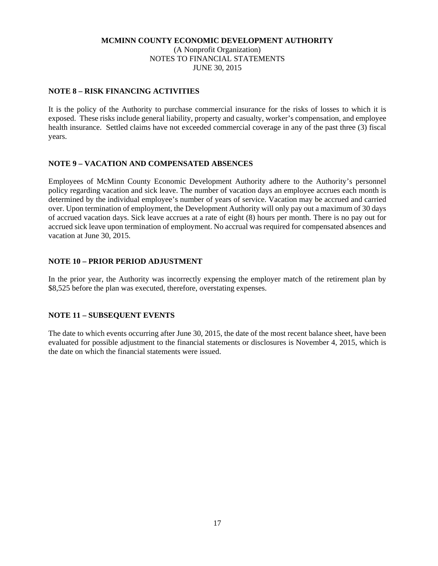(A Nonprofit Organization) NOTES TO FINANCIAL STATEMENTS JUNE 30, 2015

### **NOTE 8 – RISK FINANCING ACTIVITIES**

It is the policy of the Authority to purchase commercial insurance for the risks of losses to which it is exposed. These risks include general liability, property and casualty, worker's compensation, and employee health insurance. Settled claims have not exceeded commercial coverage in any of the past three (3) fiscal years.

# **NOTE 9 – VACATION AND COMPENSATED ABSENCES**

Employees of McMinn County Economic Development Authority adhere to the Authority's personnel policy regarding vacation and sick leave. The number of vacation days an employee accrues each month is determined by the individual employee's number of years of service. Vacation may be accrued and carried over. Upon termination of employment, the Development Authority will only pay out a maximum of 30 days of accrued vacation days. Sick leave accrues at a rate of eight (8) hours per month. There is no pay out for accrued sick leave upon termination of employment. No accrual was required for compensated absences and vacation at June 30, 2015.

### **NOTE 10 – PRIOR PERIOD ADJUSTMENT**

In the prior year, the Authority was incorrectly expensing the employer match of the retirement plan by \$8,525 before the plan was executed, therefore, overstating expenses.

# **NOTE 11 – SUBSEQUENT EVENTS**

The date to which events occurring after June 30, 2015, the date of the most recent balance sheet, have been evaluated for possible adjustment to the financial statements or disclosures is November 4, 2015, which is the date on which the financial statements were issued.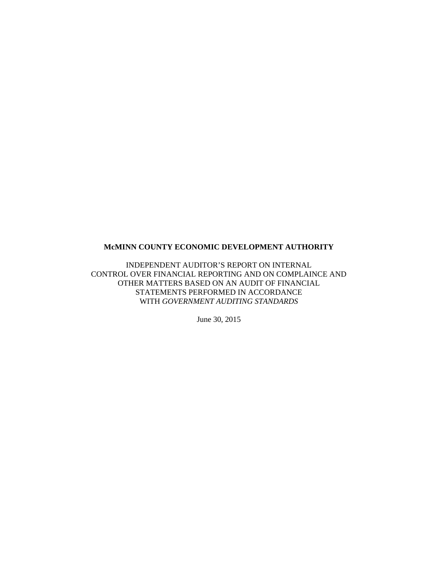INDEPENDENT AUDITOR'S REPORT ON INTERNAL CONTROL OVER FINANCIAL REPORTING AND ON COMPLAINCE AND OTHER MATTERS BASED ON AN AUDIT OF FINANCIAL STATEMENTS PERFORMED IN ACCORDANCE WITH *GOVERNMENT AUDITING STANDARDS* 

June 30, 2015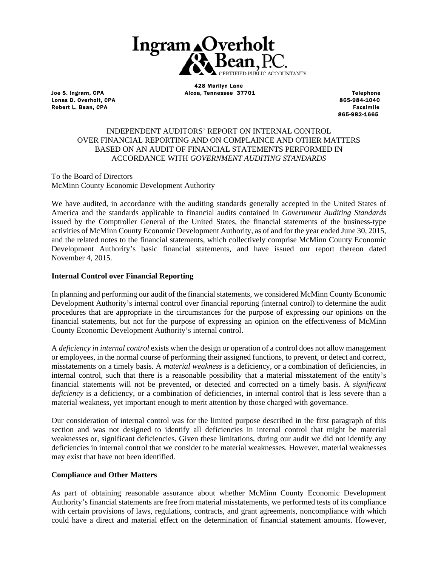

428 Marilyn Lane Joe S. Ingram, CPA **Alcoa, Tennessee 37701** Alcoa, Tennessee 37701

Lonas D. Overholt, CPA 865-984-1040

Robert L. Bean, CPA Facsimile 865-982-1665

# INDEPENDENT AUDITORS' REPORT ON INTERNAL CONTROL OVER FINANCIAL REPORTING AND ON COMPLAINCE AND OTHER MATTERS BASED ON AN AUDIT OF FINANCIAL STATEMENTS PERFORMED IN ACCORDANCE WITH *GOVERNMENT AUDITING STANDARDS*

To the Board of Directors McMinn County Economic Development Authority

We have audited, in accordance with the auditing standards generally accepted in the United States of America and the standards applicable to financial audits contained in *Government Auditing Standards* issued by the Comptroller General of the United States, the financial statements of the business-type activities of McMinn County Economic Development Authority, as of and for the year ended June 30, 2015, and the related notes to the financial statements, which collectively comprise McMinn County Economic Development Authority's basic financial statements, and have issued our report thereon dated November 4, 2015.

# **Internal Control over Financial Reporting**

In planning and performing our audit of the financial statements, we considered McMinn County Economic Development Authority's internal control over financial reporting (internal control) to determine the audit procedures that are appropriate in the circumstances for the purpose of expressing our opinions on the financial statements, but not for the purpose of expressing an opinion on the effectiveness of McMinn County Economic Development Authority's internal control.

A *deficiency in internal control* exists when the design or operation of a control does not allow management or employees, in the normal course of performing their assigned functions, to prevent, or detect and correct, misstatements on a timely basis. A *material weakness* is a deficiency, or a combination of deficiencies, in internal control, such that there is a reasonable possibility that a material misstatement of the entity's financial statements will not be prevented, or detected and corrected on a timely basis. A *significant deficiency* is a deficiency, or a combination of deficiencies, in internal control that is less severe than a material weakness, yet important enough to merit attention by those charged with governance.

Our consideration of internal control was for the limited purpose described in the first paragraph of this section and was not designed to identify all deficiencies in internal control that might be material weaknesses or, significant deficiencies. Given these limitations, during our audit we did not identify any deficiencies in internal control that we consider to be material weaknesses. However, material weaknesses may exist that have not been identified.

#### **Compliance and Other Matters**

As part of obtaining reasonable assurance about whether McMinn County Economic Development Authority's financial statements are free from material misstatements, we performed tests of its compliance with certain provisions of laws, regulations, contracts, and grant agreements, noncompliance with which could have a direct and material effect on the determination of financial statement amounts. However,